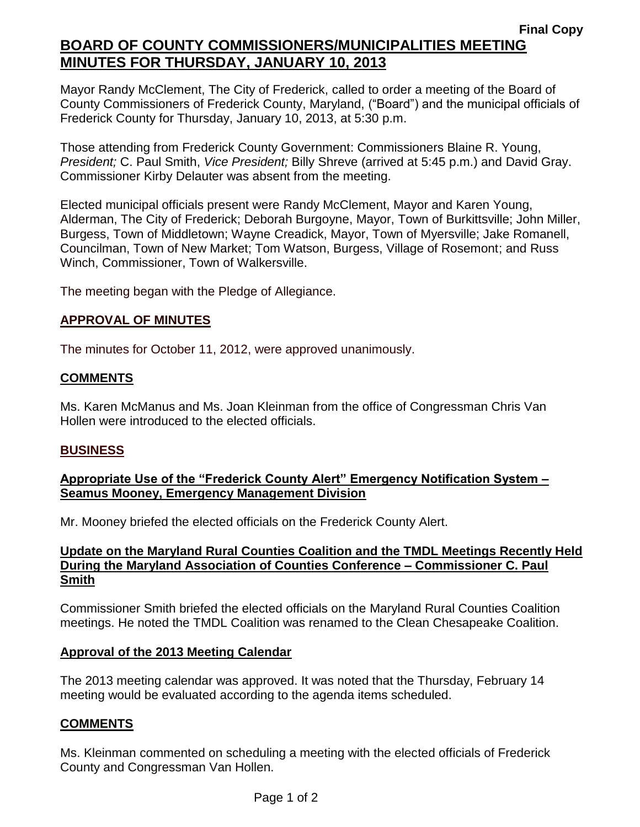Mayor Randy McClement, The City of Frederick, called to order a meeting of the Board of County Commissioners of Frederick County, Maryland, ("Board") and the municipal officials of Frederick County for Thursday, January 10, 2013, at 5:30 p.m.

Those attending from Frederick County Government: Commissioners Blaine R. Young, *President;* C. Paul Smith, *Vice President;* Billy Shreve (arrived at 5:45 p.m.) and David Gray. Commissioner Kirby Delauter was absent from the meeting.

Elected municipal officials present were Randy McClement, Mayor and Karen Young, Alderman, The City of Frederick; Deborah Burgoyne, Mayor, Town of Burkittsville; John Miller, Burgess, Town of Middletown; Wayne Creadick, Mayor, Town of Myersville; Jake Romanell, Councilman, Town of New Market; Tom Watson, Burgess, Village of Rosemont; and Russ Winch, Commissioner, Town of Walkersville.

The meeting began with the Pledge of Allegiance.

## **APPROVAL OF MINUTES**

The minutes for October 11, 2012, were approved unanimously.

## **COMMENTS**

Ms. Karen McManus and Ms. Joan Kleinman from the office of Congressman Chris Van Hollen were introduced to the elected officials.

## **BUSINESS**

## **Appropriate Use of the "Frederick County Alert" Emergency Notification System – Seamus Mooney, Emergency Management Division**

Mr. Mooney briefed the elected officials on the Frederick County Alert.

#### **Update on the Maryland Rural Counties Coalition and the TMDL Meetings Recently Held During the Maryland Association of Counties Conference – Commissioner C. Paul Smith**

Commissioner Smith briefed the elected officials on the Maryland Rural Counties Coalition meetings. He noted the TMDL Coalition was renamed to the Clean Chesapeake Coalition.

#### **Approval of the 2013 Meeting Calendar**

The 2013 meeting calendar was approved. It was noted that the Thursday, February 14 meeting would be evaluated according to the agenda items scheduled.

#### **COMMENTS**

Ms. Kleinman commented on scheduling a meeting with the elected officials of Frederick County and Congressman Van Hollen.